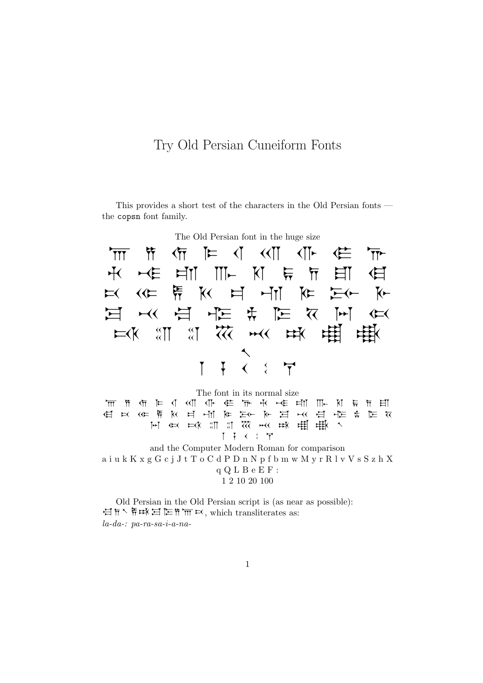## Try Old Persian Cuneiform Fonts

This provides a short test of the characters in the Old Persian fonts the copsn font family.



The font in its normal size a i u k K x g G c j J t T o C d P **C R K H H K F F K H K F K A K A F K F K**  $\mathcal{F}$  in  $\mathbb{H}$  and  $\mathbb{H}$  and  $\mathbb{H}$  and  $\mathbb{H}$  and  $\mathbb{H}$  and  $\mathbb{H}$  in  $\mathbb{H}$  and  $\mathbb{H}$  in  $\mathbb{H}$  and  $\mathbb{H}$  in  $\mathbb{H}$  and  $\mathbb{H}$  and  $\mathbb{H}$  and  $\mathbb{H}$  and  $\mathbb{H}$  and  $\mathbb{H}$  and  $\mathbb$ 1 7 4 2 7 and the Computer Modern Roman for comparison a i u k K x g G c j J t T o C d P D n N p f b m w M y r R l v V s S z h X q Q L B e E F :

1 2 10 20 100

Old Persian in the Old Persian script is (as near as possible): 白斤 原球目に作而以, which transliterates as: la-da-: pa-ra-sa-i-a-na-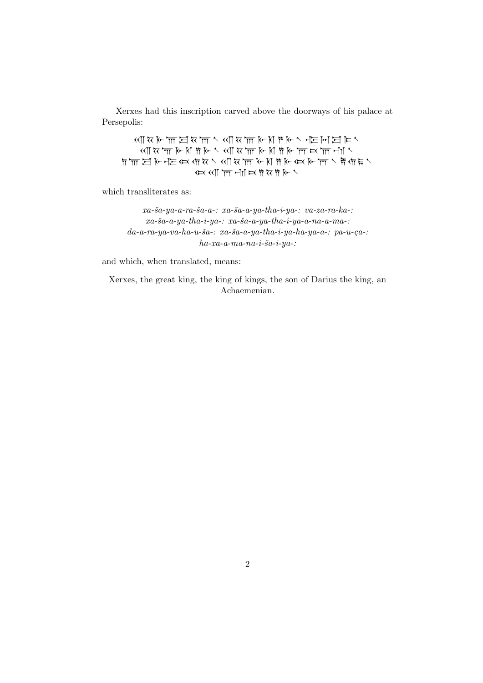Xerxes had this inscription carved above the doorways of his palace at Persepolis:

 $\wedge \exists \{E \mid \exists E \wedge \neg E \wedge \neg E \wedge \neg E \wedge \neg E \wedge \neg E \wedge \neg E \wedge \neg E \wedge \neg E \wedge \neg E \wedge \neg E \wedge \neg E \wedge \neg E \wedge \neg E \wedge \neg E \wedge \neg E \wedge \neg E \wedge \neg E \wedge \neg E \wedge \neg E \wedge \neg E \wedge \neg E \wedge \neg E \wedge \neg E \wedge \neg E \wedge \neg E \wedge \neg E \wedge \neg E \wedge \neg E \wedge \neg E \wedge \neg E \wedge \neg E \wedge \neg E \wedge \neg E \wedge \neg E \wedge$  $\sim$  TM  $\times$  TM  $\times$  TM  $\times$  TM  $\times$  TM  $\times$  TM  $\times$  TM  $\times$  TM  $\times$  TM  $\times$  TM  $\times$  TM  $\times$  $\overline{\mathcal{M}}$  dec  $\overline{\mathcal{M}}$  is  $\overline{\mathcal{M}}$  dec  $\overline{\mathcal{M}}$  and  $\overline{\mathcal{M}}$  is  $\overline{\mathcal{M}}$  by the sum in the sum in the sum in the sum in the sum in the sum in the sum in the sum in the sum in the sum in the sum in the sum  $A \times A$   $\overline{m}$   $\overline{m}$   $\overline{m}$   $\overline{m}$   $\overline{m}$   $\overline{m}$   $\overline{n}$   $\overline{n}$   $\overline{n}$   $\overline{n}$   $\overline{n}$   $\overline{n}$   $\overline{n}$   $\overline{n}$   $\overline{n}$   $\overline{n}$   $\overline{n}$   $\overline{n}$   $\overline{n}$   $\overline{n}$   $\overline{n}$   $\overline{n}$   $\overline{n}$   $\overline{n}$   $\overline{n}$   $\overline{n}$ 

which transliterates as:

 $xa-ša-ya-a-ra-Ša-a-: xa-Ša-a-ya-tha-i-ya-: va-za-ra-ka-:$  $xa-ša-a-ya-tha-i-ya-: xa-ša-a-ya-tha-i-ya-a-na-a-ma-:$  $da-a-ra-ya-va-ha-u-\check{s}a-z\;xa-\check{s}a-a-ya-tha-i-ya-ha-ya-a-z\;pa-u-ca-z$  $ha$ -xa-a-ma-na-i-ša-i-ya-:

and which, when translated, means:

Xerxes, the great king, the king of kings, the son of Darius the king, an Achaemenian.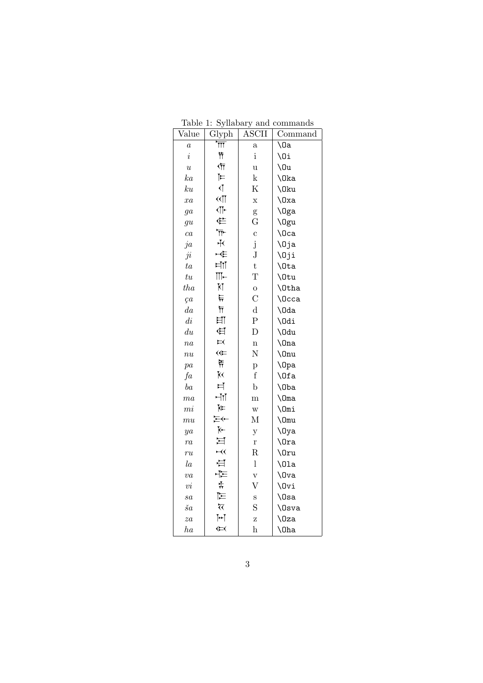| Value           | Glyph                              | <b>ASCII</b>            | Command       |
|-----------------|------------------------------------|-------------------------|---------------|
| $\overline{a}$  | $\overline{\overline{\text{III}}}$ | $\mathbf{a}$            | $\Omega$      |
| $\dot{\imath}$  | 节                                  | $\mathbf{i}$            | \Oi           |
| $\overline{u}$  | 勺                                  | $\mathbf u$             | \0u           |
| ka              | $\blacktriangleright$              | $\mathbf k$             | \0ka          |
| ku              | $\overline{\mathcal{N}}$           | K                       | \0ku          |
| xa              | $\overline{\mathbb{Q}}$            | $\mathbf x$             | $\log a$      |
| ga              | $\overline{\text{L}}$              | g                       | \0ga          |
| $g\overline{u}$ | 住                                  | G                       | \0gu          |
| ca              | $\overline{T}$                     | $\mathbf c$             | \Oca          |
| ja              | $+<$                               | j                       | \Oja          |
| ji              | НÈ                                 | ${\bf J}$               | \Oji          |
| ta              | ⊭⊺                                 | $\mathbf t$             | \0ta          |
| $t\overline{u}$ | $\mathbb{H}-$                      | T                       | \Otu          |
| tha             | KĪ                                 | $\mathbf{o}$            | \0tha         |
| ça              | 뉴                                  | $\overline{C}$          | <b>\Occa</b>  |
| da              | $\overline{\overline{\Pi}}$        | $\mathbf d$             | \0da          |
| di              | 曰                                  | $\overline{\mathrm{P}}$ | \Odi          |
| du              | $\overline{\mathbb{H}}$            | D                       | \0du          |
| $n_{a}$         | $\mathbf{H}$                       | $\mathbf n$             | $\ln a$       |
| $\overline{nu}$ | $\Leftrightarrow$                  | N                       | $\lambda$ Onu |
| pa              | 휴                                  | p                       | $\log a$      |
| fa              | <b>K</b>                           | $\mathbf f$             | \Ofa          |
| ba              | 片                                  | $\mathbf b$             | \0ba          |
| ma              | ⊢∐                                 | $\mathbf{m}$            | $\Omega$      |
| m i             | Ѥ                                  | $\ensuremath{\text{W}}$ | \Omi          |
| mu              | $\overline{H}$                     | М                       | $\Omega$      |
| ya              | $\overline{\mathsf{K}}$            | $\mathbf{y}$            | \0ya          |
| ra              | 耳                                  | $\mathbf{r}$            | $\sqrt{0ra}$  |
| ru              | $\forall$                          | $\rm R$                 | \0ru          |
| $l_a$           | 白                                  | $\mathbf{l}$            | $\Upsilon$    |
| $\overline{va}$ | 구드                                 | $\rm V$                 | \0va          |
| $\upsilon i$    | ╬                                  | $\bar{\mathrm{V}}$      | \Ovi          |
| sa              | 匞                                  | S                       | $\log a$      |
| $\check{s}a$    | $\overline{\mathcal{K}}$           | S                       | \0sva         |
| za              | $\blacktriangleright$              | Z                       | \0za          |
| $_{ha}$         | $\left( \right)$                   | $\bold{h}$              | $\lambda$     |

Table 1: Syllabary and commands